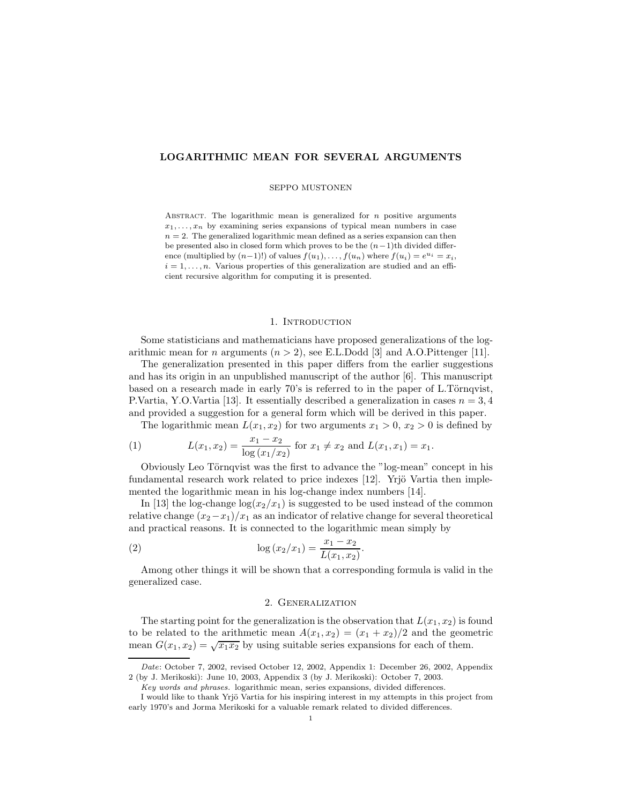# **LOGARITHMIC MEAN FOR SEVERAL ARGUMENTS**

### SEPPO MUSTONEN

Abstract. The logarithmic mean is generalized for *n* positive arguments  $x_1, \ldots, x_n$  by examining series expansions of typical mean numbers in case  $n = 2$ . The generalized logarithmic mean defined as a series expansion can then be presented also in closed form which proves to be the (*n*−1)th divided difference (multiplied by  $(n-1)!$ ) of values  $f(u_1), \ldots, f(u_n)$  where  $f(u_i) = e^{u_i} = x_i$ ,  $i = 1, \ldots, n$ . Various properties of this generalization are studied and an efficient recursive algorithm for computing it is presented.

### 1. INTRODUCTION

Some statisticians and mathematicians have proposed generalizations of the logarithmic mean for *n* arguments (*n >* 2), see E.L.Dodd [3] and A.O.Pittenger [11].

The generalization presented in this paper differs from the earlier suggestions and has its origin in an unpublished manuscript of the author [6]. This manuscript based on a research made in early 70's is referred to in the paper of L.Törnqvist, P.Vartia, Y.O.Vartia [13]. It essentially described a generalization in cases *n* = 3*,* 4 and provided a suggestion for a general form which will be derived in this paper.

The logarithmic mean  $L(x_1, x_2)$  for two arguments  $x_1 > 0$ ,  $x_2 > 0$  is defined by

(1) 
$$
L(x_1, x_2) = \frac{x_1 - x_2}{\log(x_1/x_2)} \text{ for } x_1 \neq x_2 \text{ and } L(x_1, x_1) = x_1.
$$

Obviously Leo Törnqvist was the first to advance the "log-mean" concept in his fundamental research work related to price indexes  $[12]$ . Yrjö Vartia then implemented the logarithmic mean in his log-change index numbers [14].

In [13] the log-change  $\log(x_2/x_1)$  is suggested to be used instead of the common relative change  $(x_2-x_1)/x_1$  as an indicator of relative change for several theoretical and practical reasons. It is connected to the logarithmic mean simply by

(2) 
$$
\log (x_2/x_1) = \frac{x_1 - x_2}{L(x_1, x_2)}.
$$

Among other things it will be shown that a corresponding formula is valid in the generalized case.

# 2. Generalization

The starting point for the generalization is the observation that  $L(x_1, x_2)$  is found to be related to the arithmetic mean  $A(x_1, x_2)=(x_1 + x_2)/2$  and the geometric mean  $G(x_1, x_2) = \sqrt{x_1 x_2}$  by using suitable series expansions for each of them.

*Date*: October 7, 2002, revised October 12, 2002, Appendix 1: December 26, 2002, Appendix 2 (by J. Merikoski): June 10, 2003, Appendix 3 (by J. Merikoski): October 7, 2003.

*Key words and phrases.* logarithmic mean, series expansions, divided differences.

I would like to thank Yrjö Vartia for his inspiring interest in my attempts in this project from early 1970's and Jorma Merikoski for a valuable remark related to divided differences.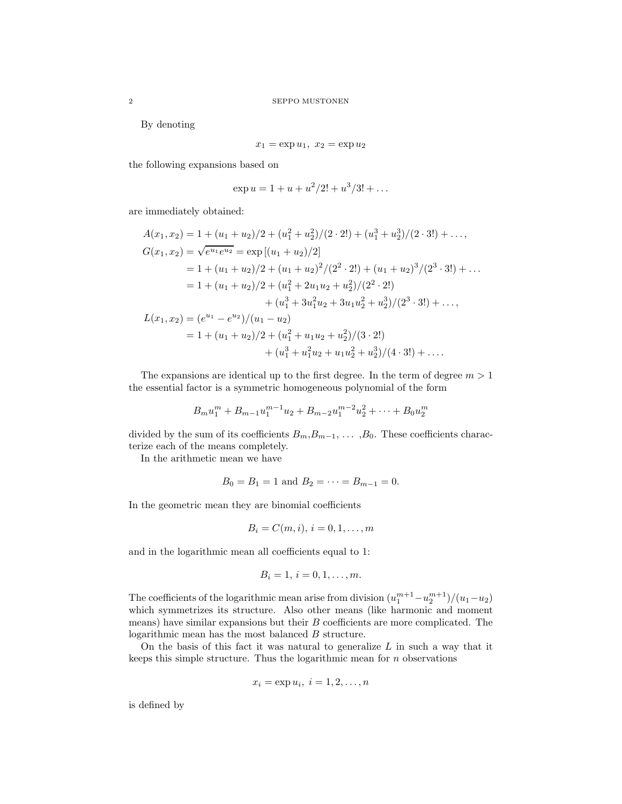By denoting

$$
x_1 = \exp u_1, \ x_2 = \exp u_2
$$

the following expansions based on

$$
\exp u = 1 + u + u^2/2! + u^3/3! + \dots
$$

are immediately obtained:

$$
A(x_1, x_2) = 1 + (u_1 + u_2)/2 + (u_1^2 + u_2^2)/(2 \cdot 2!) + (u_1^3 + u_2^3)/(2 \cdot 3!) + \dots,
$$
  
\n
$$
G(x_1, x_2) = \sqrt{e^{u_1} e^{u_2}} = \exp\left[(u_1 + u_2)/2\right]
$$
  
\n
$$
= 1 + (u_1 + u_2)/2 + (u_1 + u_2)^2/(2^2 \cdot 2!) + (u_1 + u_2)^3/(2^3 \cdot 3!) + \dots
$$
  
\n
$$
= 1 + (u_1 + u_2)/2 + (u_1^2 + 2u_1u_2 + u_2^2)/(2^2 \cdot 2!)
$$
  
\n
$$
+ (u_1^3 + 3u_1^2u_2 + 3u_1u_2^2 + u_2^3)/(2^3 \cdot 3!) + \dots,
$$
  
\n
$$
L(x_1, x_2) = (e^{u_1} - e^{u_2})/(u_1 - u_2)
$$
  
\n
$$
= 1 + (u_1 + u_2)/2 + (u_1^2 + u_1u_2 + u_2^2)/(3 \cdot 2!)
$$
  
\n
$$
+ (u_1^3 + u_1^2u_2 + u_1u_2^2 + u_2^3)/(4 \cdot 3!) + \dots
$$

The expansions are identical up to the first degree. In the term of degree *m >* 1 the essential factor is a symmetric homogeneous polynomial of the form

$$
B_m u_1^m + B_{m-1} u_1^{m-1} u_2 + B_{m-2} u_1^{m-2} u_2^2 + \dots + B_0 u_2^m
$$

divided by the sum of its coefficients  $B_m, B_{m-1}, \ldots, B_0$ . These coefficients characterize each of the means completely.

In the arithmetic mean we have

$$
B_0 = B_1 = 1
$$
 and  $B_2 = \cdots = B_{m-1} = 0$ .

In the geometric mean they are binomial coefficients

$$
B_i=C(m,i), i=0,1,\ldots,m
$$

and in the logarithmic mean all coefficients equal to 1:

$$
B_i = 1, \, i = 0, 1, \dots, m.
$$

The coefficients of the logarithmic mean arise from division  $(u_1^{m+1} - u_2^{m+1})/(u_1 - u_2)$ which symmetrizes its structure. Also other means (like harmonic and moment means) have similar expansions but their *B* coefficients are more complicated. The logarithmic mean has the most balanced *B* structure.

On the basis of this fact it was natural to generalize *L* in such a way that it keeps this simple structure. Thus the logarithmic mean for *n* observations

$$
x_i = \exp u_i, \ i = 1, 2, \dots, n
$$

is defined by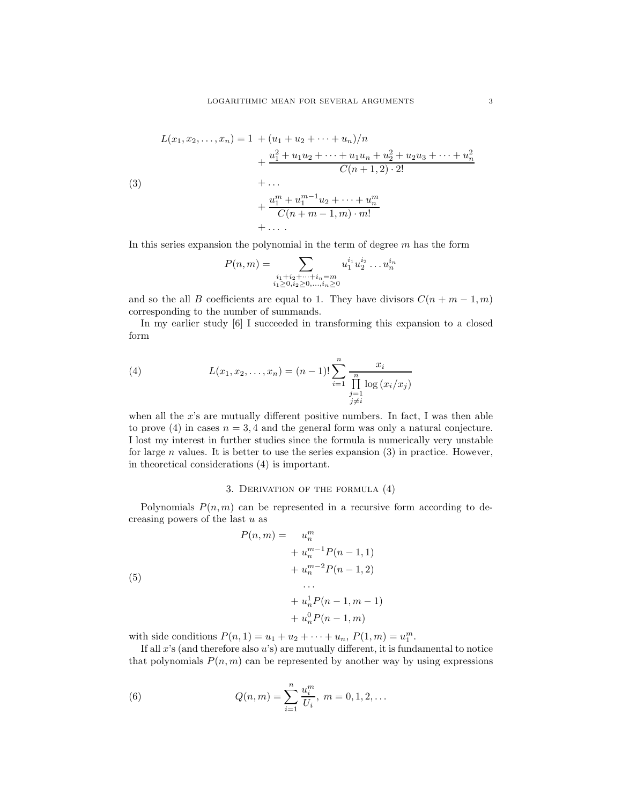(3)  
\n
$$
L(x_1, x_2,..., x_n) = 1 + (u_1 + u_2 + \dots + u_n)/n
$$
\n
$$
+ \frac{u_1^2 + u_1 u_2 + \dots + u_1 u_n + u_2^2 + u_2 u_3 + \dots + u_n^2}{C(n+1, 2) \cdot 2!}
$$
\n
$$
+ \dots
$$
\n
$$
+ \frac{u_1^m + u_1^{m-1} u_2 + \dots + u_n^m}{C(n+m-1, m) \cdot m!}
$$
\n
$$
+ \dots
$$

In this series expansion the polynomial in the term of degree *m* has the form

$$
P(n,m) = \sum_{\substack{i_1+i_2+\cdots+i_n=m\\i_1\geq 0, i_2\geq 0,\ldots,i_n\geq 0}} u_1^{i_1} u_2^{i_2} \ldots u_n^{i_n}
$$

and so the all *B* coefficients are equal to 1. They have divisors  $C(n + m - 1, m)$ corresponding to the number of summands.

In my earlier study [6] I succeeded in transforming this expansion to a closed form

(4) 
$$
L(x_1, x_2,..., x_n) = (n-1)! \sum_{i=1}^n \frac{x_i}{\prod_{\substack{j=1 \ j \neq i}}^n \log (x_i/x_j)}
$$

when all the x's are mutually different positive numbers. In fact, I was then able to prove (4) in cases  $n = 3, 4$  and the general form was only a natural conjecture. I lost my interest in further studies since the formula is numerically very unstable for large *n* values. It is better to use the series expansion (3) in practice. However, in theoretical considerations (4) is important.

# 3. Derivation of the formula (4)

Polynomials  $P(n, m)$  can be represented in a recursive form according to decreasing powers of the last *u* as

(5)  
\n
$$
P(n,m) = u_n^m + u_n^{m-1} P(n-1,1) + u_n^{m-2} P(n-1,2) \dots
$$
\n
$$
+ u_n^1 P(n-1,m-1) + u_n^0 P(n-1,m)
$$

with side conditions  $P(n, 1) = u_1 + u_2 + \cdots + u_n, P(1, m) = u_1^m$ .

If all *x*'s (and therefore also *u*'s) are mutually different, it is fundamental to notice that polynomials  $P(n, m)$  can be represented by another way by using expressions

(6) 
$$
Q(n,m) = \sum_{i=1}^{n} \frac{u_i^m}{U_i}, \ m = 0, 1, 2, ...
$$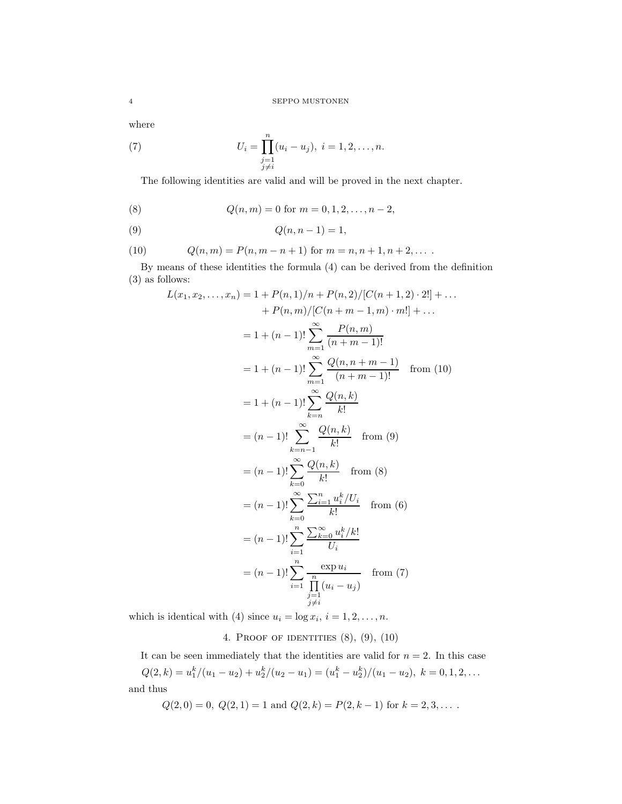where

(7) 
$$
U_i = \prod_{\substack{j=1 \ j \neq i}}^n (u_i - u_j), \ i = 1, 2, \dots, n.
$$

The following identities are valid and will be proved in the next chapter.

(8) 
$$
Q(n,m) = 0
$$
 for  $m = 0, 1, 2, ..., n-2$ ,

(9) 
$$
Q(n, n-1) = 1
$$
,

(10) 
$$
Q(n,m) = P(n, m-n+1) \text{ for } m = n, n+1, n+2, ...
$$

By means of these identities the formula (4) can be derived from the definition (3) as follows:

$$
L(x_1, x_2,..., x_n) = 1 + P(n, 1)/n + P(n, 2)/[C(n + 1, 2) \cdot 2!] + ... + P(n, m)/[C(n + m - 1, m) \cdot m!] + ... = 1 + (n - 1)! \sum_{m=1}^{\infty} \frac{P(n, m)}{(n + m - 1)!} = 1 + (n - 1)! \sum_{m=1}^{\infty} \frac{Q(n, n + m - 1)}{(n + m - 1)!} \quad \text{from (10)} = 1 + (n - 1)! \sum_{k=n}^{\infty} \frac{Q(n, k)}{k!} = (n - 1)! \sum_{k=n-1}^{\infty} \frac{Q(n, k)}{k!} \quad \text{from (9)} = (n - 1)! \sum_{k=0}^{\infty} \frac{Q(n, k)}{k!} \quad \text{from (8)} = (n - 1)! \sum_{k=0}^{\infty} \frac{\sum_{i=1}^{n} u_i^k / U_i}{k!} \quad \text{from (6)} = (n - 1)! \sum_{i=1}^{n} \frac{\sum_{k=0}^{\infty} u_i^k / k!}{U_i} = (n - 1)! \sum_{i=1}^{n} \frac{\exp u_i}{\frac{\sum_{i=1}^{n} (u_i - u_j)}{n}} \quad \text{from (7)}
$$

which is identical with (4) since  $u_i = \log x_i$ ,  $i = 1, 2, \ldots, n$ .

# 4. Proof of identities (8), (9), (10)

It can be seen immediately that the identities are valid for  $n = 2$ . In this case  $Q(2, k) = u_1^k/(u_1 - u_2) + u_2^k/(u_2 - u_1) = (u_1^k - u_2^k)/(u_1 - u_2), \ k = 0, 1, 2, \ldots$ and thus

$$
Q(2,0) = 0
$$
,  $Q(2,1) = 1$  and  $Q(2,k) = P(2,k-1)$  for  $k = 2,3,...$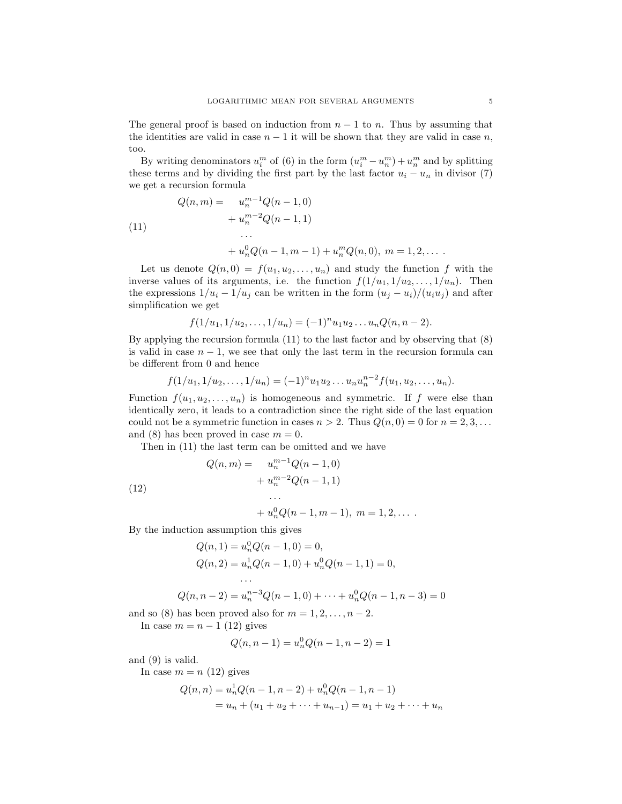The general proof is based on induction from  $n-1$  to *n*. Thus by assuming that the identities are valid in case  $n-1$  it will be shown that they are valid in case  $n$ , too.

By writing denominators  $u_i^m$  of (6) in the form  $(u_i^m - u_n^m) + u_n^m$  and by splitting these terms and by dividing the first part by the last factor  $u_i - u_n$  in divisor (7) we get a recursion formula

(11)  
\n
$$
Q(n, m) = u_n^{m-1} Q(n - 1, 0)
$$
\n
$$
+ u_n^{m-2} Q(n - 1, 1)
$$
\n
$$
\cdots
$$
\n
$$
+ u_n^0 Q(n - 1, m - 1) + u_n^m Q(n, 0), \ m = 1, 2, \dots
$$

Let us denote  $Q(n,0) = f(u_1, u_2, \ldots, u_n)$  and study the function f with the inverse values of its arguments, i.e. the function  $f(1/u_1, 1/u_2, \ldots, 1/u_n)$ . Then the expressions  $1/u_i - 1/u_j$  can be written in the form  $(u_j - u_i)/(u_i u_j)$  and after simplification we get

$$
f(1/u_1, 1/u_2, \ldots, 1/u_n) = (-1)^n u_1 u_2 \ldots u_n Q(n, n-2).
$$

By applying the recursion formula (11) to the last factor and by observing that (8) is valid in case  $n-1$ , we see that only the last term in the recursion formula can be different from 0 and hence

$$
f(1/u_1, 1/u_2, \ldots, 1/u_n) = (-1)^n u_1 u_2 \ldots u_n u_n^{n-2} f(u_1, u_2, \ldots, u_n).
$$

Function  $f(u_1, u_2, \ldots, u_n)$  is homogeneous and symmetric. If f were else than identically zero, it leads to a contradiction since the right side of the last equation could not be a symmetric function in cases  $n > 2$ . Thus  $Q(n, 0) = 0$  for  $n = 2, 3, \ldots$ and (8) has been proved in case  $m = 0$ .

Then in (11) the last term can be omitted and we have

(12)  
\n
$$
Q(n,m) = u_n^{m-1}Q(n-1,0)
$$
\n
$$
+ u_n^{m-2}Q(n-1,1)
$$
\n...\n
$$
+ u_n^{0}Q(n-1,m-1), \ m = 1,2,...
$$

$$
\hbox{By the induction assumption this gives}\\
$$

$$
Q(n, 1) = u_n^0 Q(n - 1, 0) = 0,
$$
  
\n
$$
Q(n, 2) = u_n^1 Q(n - 1, 0) + u_n^0 Q(n - 1, 1) = 0,
$$
  
\n...  
\n
$$
Q(n, n - 2) = u_n^{n-3} Q(n - 1, 0) + \dots + u_n^0 Q(n - 1, n - 3) = 0
$$

and so (8) has been proved also for  $m = 1, 2, \ldots, n - 2$ .

In case  $m = n - 1$  (12) gives

$$
Q(n, n-1) = u_n^0 Q(n-1, n-2) = 1
$$

and (9) is valid.

In case  $m = n (12)$  gives

$$
Q(n, n) = u_n^1 Q(n - 1, n - 2) + u_n^0 Q(n - 1, n - 1)
$$
  
=  $u_n + (u_1 + u_2 + \dots + u_{n-1}) = u_1 + u_2 + \dots + u_n$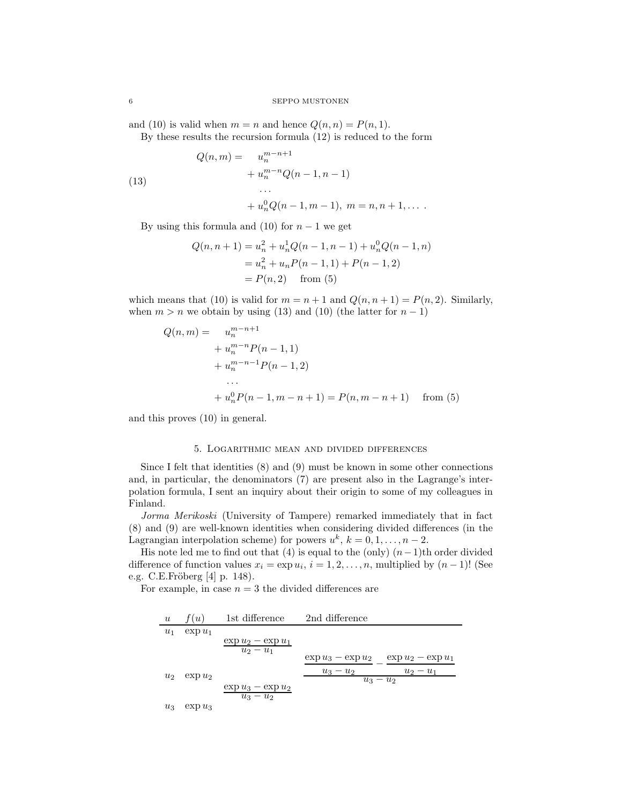and (10) is valid when  $m = n$  and hence  $Q(n, n) = P(n, 1)$ . By these results the recursion formula (12) is reduced to the form

(13)  
\n
$$
Q(n,m) = u_n^{m-n+1} + u_n^{m-n} Q(n-1, n-1)
$$
\n...\n
$$
+ u_n^0 Q(n-1, m-1), \ m = n, n+1, \dots
$$

By using this formula and (10) for  $n-1$  we get

$$
Q(n, n + 1) = u_n^2 + u_n^1 Q(n - 1, n - 1) + u_n^0 Q(n - 1, n)
$$
  
=  $u_n^2 + u_n P(n - 1, 1) + P(n - 1, 2)$   
=  $P(n, 2)$  from (5)

which means that (10) is valid for  $m = n + 1$  and  $Q(n, n + 1) = P(n, 2)$ . Similarly, when  $m > n$  we obtain by using (13) and (10) (the latter for  $n - 1$ )

$$
Q(n,m) = u_n^{m-n+1}
$$
  
+  $u_n^{m-n}P(n-1,1)$   
+  $u_n^{m-n-1}P(n-1,2)$   
...  
+  $u_n^0P(n-1,m-n+1) = P(n,m-n+1)$  from (5)

and this proves (10) in general.

#### 5. Logarithmic mean and divided differences

Since I felt that identities (8) and (9) must be known in some other connections and, in particular, the denominators (7) are present also in the Lagrange's interpolation formula, I sent an inquiry about their origin to some of my colleagues in Finland.

Jorma Merikoski (University of Tampere) remarked immediately that in fact (8) and (9) are well-known identities when considering divided differences (in the Lagrangian interpolation scheme) for powers  $u^k$ ,  $k = 0, 1, \ldots, n - 2$ .

His note led me to find out that (4) is equal to the (only) (*n*−1)th order divided difference of function values  $x_i = \exp u_i$ ,  $i = 1, 2, \ldots, n$ , multiplied by  $(n-1)!$  (See e.g. C.E.Fröberg  $[4]$  p. 148).

For example, in case  $n = 3$  the divided differences are

| $u$   | $f(u)$           | 1st difference        | 2nd difference   |
|-------|------------------|-----------------------|------------------|
| $u_1$ | $\exp u_1$       | $\exp u_2 - \exp u_1$ |                  |
| $u_2$ | $\exp u_2 - u_1$ | $\exp u_3 - \exp u_2$ | $\exp u_3 - u_2$ |
| $u_2$ | $\exp u_2$       | $\exp u_3 - u_2$      | $\exp u_2 - u_1$ |
| $u_3$ | $\exp u_3$       | $\exp u_2$            | $u_3 - u_2$      |
| $u_3$ | $\exp u_3$       | $\exp u_2$            |                  |
| $u_3$ | $\exp u_3$       | $\exp u_2$            |                  |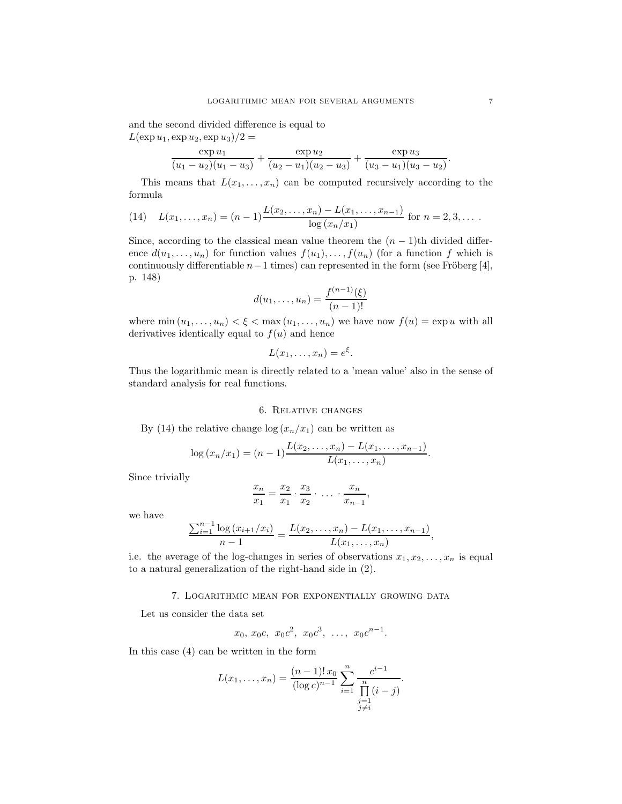and the second divided difference is equal to  $L(\exp u_1, \exp u_2, \exp u_3)/2 =$ 

$$
\frac{\exp u_1}{(u_1 - u_2)(u_1 - u_3)} + \frac{\exp u_2}{(u_2 - u_1)(u_2 - u_3)} + \frac{\exp u_3}{(u_3 - u_1)(u_3 - u_2)}.
$$

This means that  $L(x_1,...,x_n)$  can be computed recursively according to the formula

(14) 
$$
L(x_1,...,x_n) = (n-1)\frac{L(x_2,...,x_n) - L(x_1,...,x_{n-1})}{\log(x_n/x_1)} \text{ for } n = 2,3,...
$$

Since, according to the classical mean value theorem the  $(n-1)$ <sup>th</sup> divided difference  $d(u_1, \ldots, u_n)$  for function values  $f(u_1), \ldots, f(u_n)$  (for a function f which is continuously differentiable  $n-1$  times) can represented in the form (see Fröberg [4], p. 148)

$$
d(u_1, \dots, u_n) = \frac{f^{(n-1)}(\xi)}{(n-1)!}
$$

where  $\min(u_1, \ldots, u_n) < \xi < \max(u_1, \ldots, u_n)$  we have now  $f(u) = \exp u$  with all derivatives identically equal to  $f(u)$  and hence

$$
L(x_1,\ldots,x_n)=e^{\xi}.
$$

Thus the logarithmic mean is directly related to a 'mean value' also in the sense of standard analysis for real functions.

# 6. Relative changes

By (14) the relative change  $\log (x_n/x_1)$  can be written as

$$
\log (x_n/x_1) = (n-1) \frac{L(x_2, \ldots, x_n) - L(x_1, \ldots, x_{n-1})}{L(x_1, \ldots, x_n)}.
$$

Since trivially

$$
\frac{x_n}{x_1} = \frac{x_2}{x_1} \cdot \frac{x_3}{x_2} \cdot \ldots \cdot \frac{x_n}{x_{n-1}},
$$

we have

$$
\frac{\sum_{i=1}^{n-1} \log (x_{i+1}/x_i)}{n-1} = \frac{L(x_2, \ldots, x_n) - L(x_1, \ldots, x_{n-1})}{L(x_1, \ldots, x_n)},
$$

i.e. the average of the log-changes in series of observations  $x_1, x_2, \ldots, x_n$  is equal to a natural generalization of the right-hand side in (2).

## 7. Logarithmic mean for exponentially growing data

Let us consider the data set

$$
x_0, x_0c, x_0c^2, x_0c^3, \ldots, x_0c^{n-1}.
$$

In this case (4) can be written in the form

$$
L(x_1,...,x_n) = \frac{(n-1)! \, x_0}{(\log c)^{n-1}} \sum_{i=1}^n \frac{c^{i-1}}{\prod_{\substack{j=1 \ j \neq i}}^n (i-j)}.
$$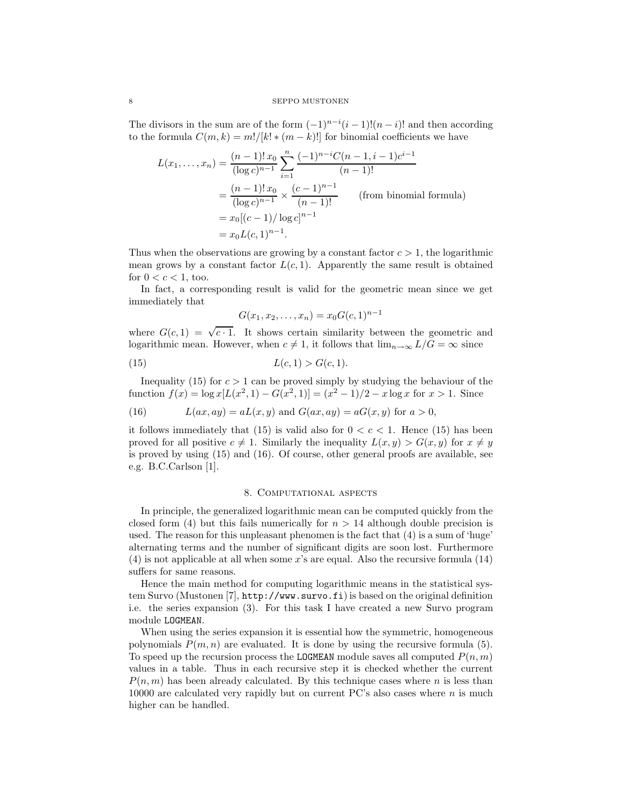#### 8 SEPPO MUSTONEN

The divisors in the sum are of the form  $(-1)^{n-i}(i-1)!(n-i)!$  and then according to the formula  $C(m, k) = m!/[k! * (m-k)!]$  for binomial coefficients we have

$$
L(x_1,...,x_n) = \frac{(n-1)! \, x_0}{(\log c)^{n-1}} \sum_{i=1}^n \frac{(-1)^{n-i} C(n-1, i-1) c^{i-1}}{(n-1)!}
$$
  
=  $\frac{(n-1)! \, x_0}{(\log c)^{n-1}} \times \frac{(c-1)^{n-1}}{(n-1)!}$  (from binomial formula)  
=  $x_0 [(c-1)/\log c]^{n-1}$   
=  $x_0 L(c, 1)^{n-1}$ .

Thus when the observations are growing by a constant factor  $c > 1$ , the logarithmic mean grows by a constant factor  $L(c, 1)$ . Apparently the same result is obtained for  $0 < c < 1$ , too.

In fact, a corresponding result is valid for the geometric mean since we get immediately that

$$
G(x_1, x_2, \dots, x_n) = x_0 G(c, 1)^{n-1}
$$

where  $G(c, 1) = \sqrt{c \cdot 1}$ . It shows certain similarity between the geometric and logarithmic mean. However, when  $c \neq 1$ , it follows that  $\lim_{n\to\infty} L/G = \infty$  since

(15) 
$$
L(c, 1) > G(c, 1).
$$

Inequality (15) for  $c > 1$  can be proved simply by studying the behaviour of the function  $f(x) = \log x[L(x^2, 1) - G(x^2, 1)] = (x^2 - 1)/2 - x \log x$  for  $x > 1$ . Since

(16) 
$$
L(ax, ay) = aL(x, y) \text{ and } G(ax, ay) = aG(x, y) \text{ for } a > 0,
$$

it follows immediately that  $(15)$  is valid also for  $0 < c < 1$ . Hence  $(15)$  has been proved for all positive  $c \neq 1$ . Similarly the inequality  $L(x, y) > G(x, y)$  for  $x \neq y$ is proved by using (15) and (16). Of course, other general proofs are available, see e.g. B.C.Carlson [1].

## 8. Computational aspects

In principle, the generalized logarithmic mean can be computed quickly from the closed form (4) but this fails numerically for  $n > 14$  although double precision is used. The reason for this unpleasant phenomen is the fact that (4) is a sum of 'huge' alternating terms and the number of significant digits are soon lost. Furthermore (4) is not applicable at all when some *x*'s are equal. Also the recursive formula (14) suffers for same reasons.

Hence the main method for computing logarithmic means in the statistical system Survo (Mustonen [7], http://www.survo.fi) is based on the original definition i.e. the series expansion (3). For this task I have created a new Survo program module LOGMEAN.

When using the series expansion it is essential how the symmetric, homogeneous polynomials  $P(m, n)$  are evaluated. It is done by using the recursive formula (5). To speed up the recursion process the LOGMEAN module saves all computed  $P(n, m)$ values in a table. Thus in each recursive step it is checked whether the current  $P(n, m)$  has been already calculated. By this technique cases where *n* is less than 10000 are calculated very rapidly but on current PC's also cases where *n* is much higher can be handled.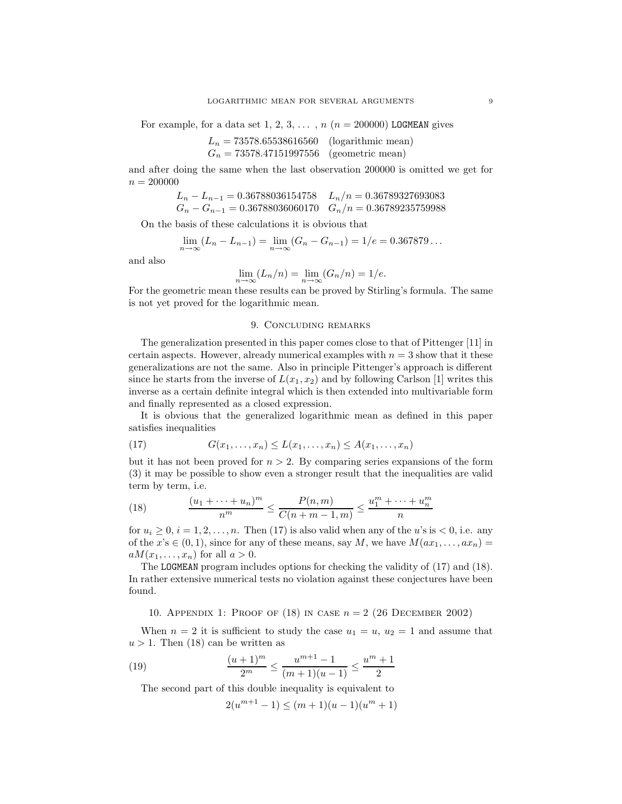For example, for a data set 1, 2, 3,  $\dots$ ,  $n(n = 200000)$  LOGMEAN gives

$$
L_n = 73578.65538616560 \quad \text{(logarithmic mean)}G_n = 73578.47151997556 \quad \text{(geometric mean)}
$$

and after doing the same when the last observation 200000 is omitted we get for  $n = 200000$ 

$$
L_n - L_{n-1} = 0.36788036154758 \t L_n/n = 0.36789327693083
$$
  
\n
$$
G_n - G_{n-1} = 0.36788036060170 \t G_n/n = 0.36789235759988
$$

On the basis of these calculations it is obvious that

$$
\lim_{n \to \infty} (L_n - L_{n-1}) = \lim_{n \to \infty} (G_n - G_{n-1}) = 1/e = 0.367879...
$$

and also

$$
\lim_{n \to \infty} (L_n/n) = \lim_{n \to \infty} (G_n/n) = 1/e.
$$

For the geometric mean these results can be proved by Stirling's formula. The same is not yet proved for the logarithmic mean.

# 9. Concluding remarks

The generalization presented in this paper comes close to that of Pittenger [11] in certain aspects. However, already numerical examples with  $n = 3$  show that it these generalizations are not the same. Also in principle Pittenger's approach is different since he starts from the inverse of  $L(x_1, x_2)$  and by following Carlson [1] writes this inverse as a certain definite integral which is then extended into multivariable form and finally represented as a closed expression.

It is obvious that the generalized logarithmic mean as defined in this paper satisfies inequalities

$$
(17) \tG(x_1,\ldots,x_n) \le L(x_1,\ldots,x_n) \le A(x_1,\ldots,x_n)
$$

but it has not been proved for  $n > 2$ . By comparing series expansions of the form (3) it may be possible to show even a stronger result that the inequalities are valid term by term, i.e.

(18) 
$$
\frac{(u_1 + \dots + u_n)^m}{n^m} \le \frac{P(n,m)}{C(n+m-1,m)} \le \frac{u_1^m + \dots + u_n^m}{n}
$$

for  $u_i \geq 0$ ,  $i = 1, 2, \ldots, n$ . Then (17) is also valid when any of the *u*'s is  $< 0$ , i.e. any of the  $x$ 's  $\in (0,1)$ , since for any of these means, say *M*, we have  $M(ax_1, \ldots, ax_n)$  =  $aM(x_1,\ldots,x_n)$  for all  $a>0$ .

The LOGMEAN program includes options for checking the validity of (17) and (18). In rather extensive numerical tests no violation against these conjectures have been found.

10. Appendix 1: Proof of (18) in case *n* = 2 (26 December 2002)

When  $n = 2$  it is sufficient to study the case  $u_1 = u$ ,  $u_2 = 1$  and assume that  $u > 1$ . Then (18) can be written as

(19) 
$$
\frac{(u+1)^m}{2^m} \le \frac{u^{m+1}-1}{(m+1)(u-1)} \le \frac{u^m+1}{2}
$$

The second part of this double inequality is equivalent to

$$
2(u^{m+1}-1) \le (m+1)(u-1)(u^m+1)
$$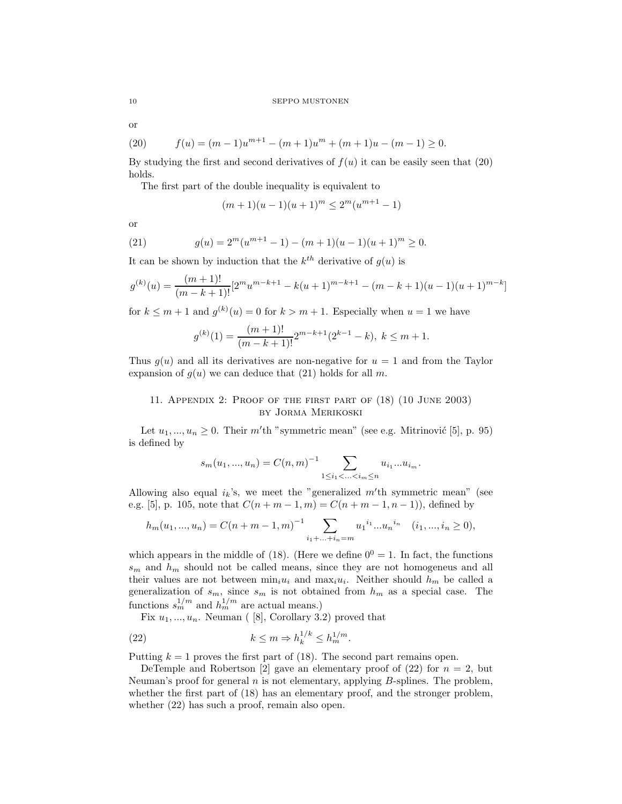or

(20) 
$$
f(u) = (m-1)u^{m+1} - (m+1)u^m + (m+1)u - (m-1) \ge 0.
$$

By studying the first and second derivatives of  $f(u)$  it can be easily seen that (20) holds.

The first part of the double inequality is equivalent to

$$
(m+1)(u-1)(u+1)^m \le 2^m(u^{m+1}-1)
$$

or

(21) 
$$
g(u) = 2^m(u^{m+1} - 1) - (m+1)(u-1)(u+1)^m \ge 0.
$$

It can be shown by induction that the  $k^{th}$  derivative of  $g(u)$  is

$$
g^{(k)}(u) = \frac{(m+1)!}{(m-k+1)!} [2^m u^{m-k+1} - k(u+1)^{m-k+1} - (m-k+1)(u-1)(u+1)^{m-k}]
$$

for  $k \leq m+1$  and  $g^{(k)}(u) = 0$  for  $k > m+1$ . Especially when  $u = 1$  we have

$$
g^{(k)}(1) = \frac{(m+1)!}{(m-k+1)!} 2^{m-k+1} (2^{k-1} - k), \ k \le m+1.
$$

Thus  $g(u)$  and all its derivatives are non-negative for  $u = 1$  and from the Taylor expansion of  $g(u)$  we can deduce that (21) holds for all *m*.

# 11. Appendix 2: Proof of the first part of (18) (10 June 2003) by Jorma Merikoski

Let  $u_1, ..., u_n \geq 0$ . Their *m*'th "symmetric mean" (see e.g. Mitrinović [5], p. 95) is defined by

$$
s_m(u_1, ..., u_n) = C(n, m)^{-1} \sum_{1 \le i_1 < ... < i_m \le n} u_{i_1} ... u_{i_m}.
$$

Allowing also equal  $i_k$ 's, we meet the "generalized  $m'$ <sup>th</sup> symmetric mean" (see e.g. [5], p. 105, note that  $C(n + m - 1, m) = C(n + m - 1, n - 1)$ , defined by

$$
h_m(u_1, ..., u_n) = C(n+m-1,m)^{-1} \sum_{i_1 + ... + i_n = m} u_1^{i_1} ... u_n^{i_n} \quad (i_1, ..., i_n \ge 0),
$$

which appears in the middle of (18). (Here we define  $0^0 = 1$ . In fact, the functions *s*<sup>m</sup> and *h*<sup>m</sup> should not be called means, since they are not homogeneus and all their values are not between  $\min_i u_i$  and  $\max_i u_i$ . Neither should  $h_m$  be called a generalization of  $s_m$ , since  $s_m$  is not obtained from  $h_m$  as a special case. The functions  $s_m^{1/m}$  and  $h_m^{1/m}$  are actual means.)

Fix  $u_1, \ldots, u_n$ . Neuman ([8], Corollary 3.2) proved that

(22) 
$$
k \leq m \Rightarrow h_k^{1/k} \leq h_m^{1/m}.
$$

Putting  $k = 1$  proves the first part of  $(18)$ . The second part remains open.

DeTemple and Robertson [2] gave an elementary proof of  $(22)$  for  $n = 2$ , but Neuman's proof for general *n* is not elementary, applying *B*-splines. The problem, whether the first part of (18) has an elementary proof, and the stronger problem, whether (22) has such a proof, remain also open.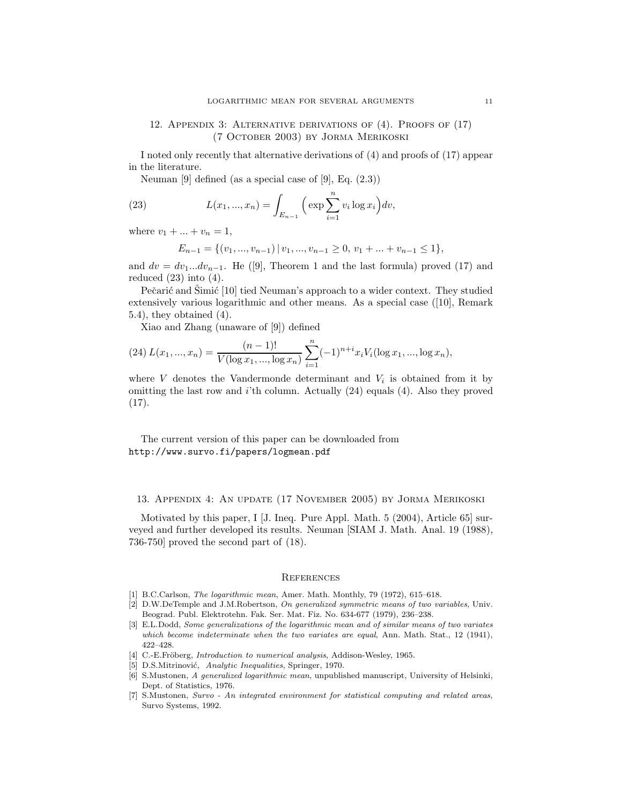# 12. Appendix 3: Alternative derivations of (4). Proofs of (17) (7 October 2003) by Jorma Merikoski

I noted only recently that alternative derivations of (4) and proofs of (17) appear in the literature.

Neuman [9] defined (as a special case of [9], Eq.  $(2.3)$ )

(23) 
$$
L(x_1, ..., x_n) = \int_{E_{n-1}} \left( \exp \sum_{i=1}^n v_i \log x_i \right) dv,
$$

where  $v_1 + ... + v_n = 1$ ,

$$
E_{n-1} = \{(v_1, ..., v_{n-1}) \mid v_1, ..., v_{n-1} \ge 0, v_1 + ... + v_{n-1} \le 1\},\
$$

and  $dv = dv_1...dv_{n-1}$ . He ([9], Theorem 1 and the last formula) proved (17) and reduced  $(23)$  into  $(4)$ .

Pečarić and Simić [10] tied Neuman's approach to a wider context. They studied extensively various logarithmic and other means. As a special case ([10], Remark 5.4), they obtained (4).

Xiao and Zhang (unaware of [9]) defined

(24) 
$$
L(x_1, ..., x_n) = \frac{(n-1)!}{V(\log x_1, ..., \log x_n)} \sum_{i=1}^n (-1)^{n+i} x_i V_i(\log x_1, ..., \log x_n),
$$

where  $V$  denotes the Vandermonde determinant and  $V_i$  is obtained from it by omitting the last row and *i*'th column. Actually (24) equals (4). Also they proved (17).

The current version of this paper can be downloaded from http://www.survo.fi/papers/logmean.pdf

# 13. Appendix 4: An update (17 November 2005) by Jorma Merikoski

Motivated by this paper, I [J. Ineq. Pure Appl. Math. 5 (2004), Article 65] surveyed and further developed its results. Neuman [SIAM J. Math. Anal. 19 (1988), 736-750] proved the second part of (18).

### **REFERENCES**

- [1] B.C.Carlson, *The logarithmic mean*, Amer. Math. Monthly, 79 (1972), 615–618.
- [2] D.W.DeTemple and J.M.Robertson, *On generalized symmetric means of two variables*, Univ. Beograd. Publ. Elektrotehn. Fak. Ser. Mat. Fiz. No. 634-677 (1979), 236–238.
- [3] E.L.Dodd, *Some generalizations of the logarithmic mean and of similar means of two variates which become indeterminate when the two variates are equal*, Ann. Math. Stat., 12 (1941), 422–428.
- [4] C.-E.Fröberg, *Introduction to numerical analysis*, Addison-Wesley, 1965.
- [5] D.S.Mitrinović, *Analytic Inequalities*, Springer, 1970.
- [6] S.Mustonen, *A generalized logarithmic mean*, unpublished manuscript, University of Helsinki, Dept. of Statistics, 1976.
- [7] S.Mustonen, *Survo An integrated environment for statistical computing and related areas*, Survo Systems, 1992.